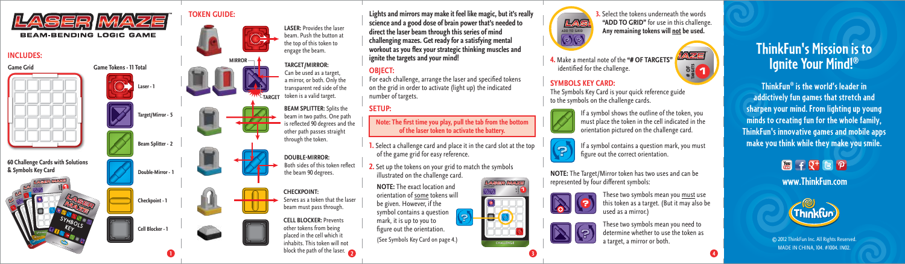

**Laser - 1**

**Target/Mirror - 5**

**Beam Splitter - 2**

**Double-Mirror - 1**

**Checkpoint - 1** 

**Cell Blocker - 1**

### **INCLUDES:**



#### **TOKEN GUIDE:**

**MIRROR**

**LASER:** Provides the laser beam. Push the button at the top of this token to engage the beam. **TARGET/MIRROR:**

#### Can be used as a target, a mirror, or both. Only the transparent red side of the token is a valid target. **TARGET**

#### **BEAM SPLITTER:** Splits the beam in two paths. One path is reflected 90 degrees and the other path passes straight through the token.

**DOUBLE-MIRROR:**  Both sides of this token reflect the beam 90 degrees.





**Lights and mirrors may make it feel like magic, but it's really science and a good dose of brain power that's needed to direct the laser beam through this series of mind challenging mazes. Get ready for a satisfying mental**  workout as you flex your strategic thinking muscles and **ignite the targets and your mind!**

## **OBJECT:**

For each challenge, arrange the laser and specified tokens on the grid in order to activate (light up) the indicated number of targets.

## **SETUP:**

Note: The first time you play, pull the tab from the bottom **of the laser token to activate the battery.**

**1.** Select a challenge card and place it in the card slot at the top of the game grid for easy reference.

**2.** Set up the tokens on your grid to match the symbols illustrated on the challenge card.

**NOTE:** The exact location and orientation of some tokens will be given. However, if the symbol contains a question  $\left( \mathbf{\overline{P}}\right)$ mark, it is up to you to figure out the orientation. (See Symbols Key Card on page 4.)



**CHALLENGE**

<u>Latin</u>



this token as a target. (But it may also be used as a mirror.)

**4.** Make a mental note of the **"# OF TARGETS"** identified for the challenge.

> These two symbols mean you need to determine whether to use the token as a target, a mirror or both.

These two symbols mean you must use

**3.** Select the tokens underneath the words

Any remaining tokens will <u>not</u> be used.

**# OF TARGETS 1**

**LASER MAZE ™**

 $\mathbf{L}$ **ASE**  $\blacksquare$  **"ADD TO GRID"** for use in this challenge.

If a symbol shows the outline of the token, you must place the token in the cell indicated in the orientation pictured on the challenge card.

# **ThinkFun's Mission is to Idnite Your Mind!**<sup>®</sup>

**ThinkFun® is the world's leader in addictively fun games that stretch and sharpen your mind. From lighting up young minds to creating fun for the whole family, ThinkFun's innovative games and mobile apps make you think while they make you smile.**

 $\mathbb{Z}$  f  $\mathbb{Z}$  B  $\mathbb{P}$ 

**www.ThinkFun.com**



© 2012 ThinkFun Inc. All Rights Reserved. MADE IN CHINA, 104. #1004. IN02.







If a symbol contains a question mark, you must **CHALLENGE** figure out the correct orientation.

**SYMBOLS KEY CARD:**

**ADD TO GRID**

**NOTE:** The Target/Mirror token has two uses and can be represented by four different symbols: